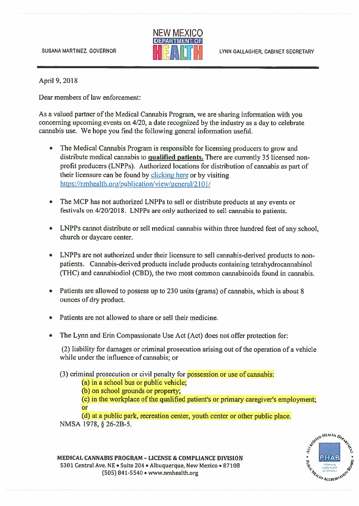

April 9,2018

Dear members of law enforcement:

As <sup>a</sup> valued partner of the Medical Cannabis Program, we are sharing information with you concerning upcoming events on 4/20, <sup>a</sup> date recognized by the industry as <sup>a</sup> day to celebrate cannabis use. We hope you find the following general information useful.

- • The Medical Cannabis Program is responsible for licensing producers to grow and distribute medical cannabis to qualified patients. There are currently 35 licensed non profit producers (LNPP5). Authorized locations for distribution of cannabis as par<sup>t</sup> of their licensure can be found by clicking here or by visiting https://nmhealth.org/publication/view/general/2101/
- The MCP has not authorized LNPPs to sell or distribute products at any events or festivals on  $4/20/2018$ . LNPPs are only authorized to sell cannabis to patients.
- LNPPs cannot distribute or sell medical cannabis within three hundred feet of any school, church or daycare center.
- LNPPs are not authorized under their licensure to sell cannabis-derived products to nonpatients. Cannabis-derived products include products containing tetrahydrocannabinol (THC) and cannabiodiol (CBD), the two most common cannabinoids found in cannabis.
- Patients are allowed to possess up to 230 units (grams) of cannabis, which is about 8 ounces of dry product.
- •Patients are not allowed to share or sell their medicine.
- The Lynn and Erin Compassionate Use Act (Act) does not offer protection for

(2) liability for damages or criminal prosecution arising out of the operation of <sup>a</sup> vehicle while under the influence of cannabis; or

(3) criminal prosecution or civil penalty for possession or use of cannabis:

(a) in <sup>a</sup> school bus or public vehicle;

(b) on school grounds or property;

(c) in the workplace of the qualified patient's or primary caregiver's employment; or

(d) at <sup>a</sup> public park, recreation center, youth center or other public place. NMSA 1978, § 26-2B-5.



MEDICAL CANNABIS PROGRAM - LICENSE & COMPLIANCE DIVISION 5301 Central Ave. NE • Suite 204 • Albuquerque, New Mexico • 87108 **11 Central Ave. NE • Suite 204 • Albuquerque, New Mexico • 87108 11 Access 1941-5540** • www.nmhealth.org 1941-5540 • www.nmhealth.org 1941-19540 • www.